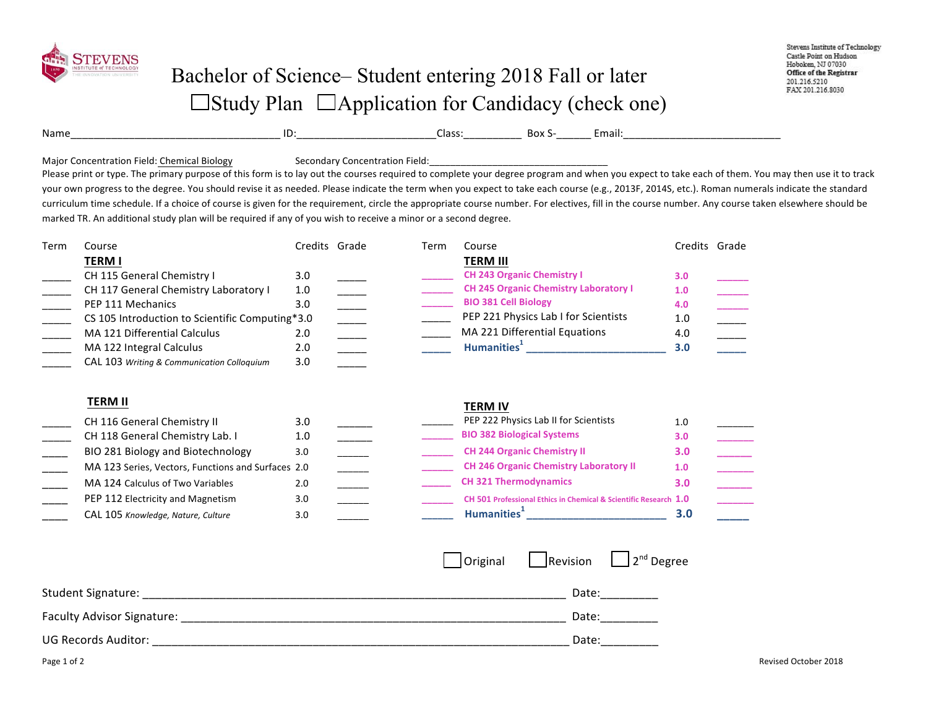

|                 |                |                  | $D_{\mathbf{A}}$ | .                      |
|-----------------|----------------|------------------|------------------|------------------------|
| Name<br>_______ | . .<br>_______ | `lasr<br>. د د ۱ | . גטס            | mail:<br>_____________ |

Major Concentration Field: Chemical Biology Secondary Concentration Field:

Please print or type. The primary purpose of this form is to lay out the courses required to complete your degree program and when you expect to take each of them. You may then use it to track your own progress to the degree. You should revise it as needed. Please indicate the term when you expect to take each course (e.g., 2013F, 2014S, etc.). Roman numerals indicate the standard curriculum time schedule. If a choice of course is given for the requirement, circle the appropriate course number. For electives, fill in the course number. Any course taken elsewhere should be marked TR. An additional study plan will be required if any of you wish to receive a minor or a second degree.

| Course                                     |     |                                                                                                       | Term          | Course                                        |                                                                                                                                                                                                                                                                                                    |                                                                                                                                                                                          |
|--------------------------------------------|-----|-------------------------------------------------------------------------------------------------------|---------------|-----------------------------------------------|----------------------------------------------------------------------------------------------------------------------------------------------------------------------------------------------------------------------------------------------------------------------------------------------------|------------------------------------------------------------------------------------------------------------------------------------------------------------------------------------------|
| <b>TERM I</b>                              |     |                                                                                                       |               | <b>TERM III</b>                               |                                                                                                                                                                                                                                                                                                    |                                                                                                                                                                                          |
| CH 115 General Chemistry I                 | 3.0 |                                                                                                       |               | <b>CH 243 Organic Chemistry I</b>             |                                                                                                                                                                                                                                                                                                    |                                                                                                                                                                                          |
| CH 117 General Chemistry Laboratory I      | 1.0 |                                                                                                       |               | <b>CH 245 Organic Chemistry Laboratory I</b>  |                                                                                                                                                                                                                                                                                                    |                                                                                                                                                                                          |
| PEP 111 Mechanics                          | 3.0 |                                                                                                       |               | <b>BIO 381 Cell Biology</b>                   |                                                                                                                                                                                                                                                                                                    |                                                                                                                                                                                          |
|                                            |     |                                                                                                       |               |                                               |                                                                                                                                                                                                                                                                                                    |                                                                                                                                                                                          |
| MA 121 Differential Calculus               | 2.0 |                                                                                                       |               | MA 221 Differential Equations                 |                                                                                                                                                                                                                                                                                                    |                                                                                                                                                                                          |
| MA 122 Integral Calculus                   | 2.0 |                                                                                                       |               |                                               |                                                                                                                                                                                                                                                                                                    |                                                                                                                                                                                          |
| CAL 103 Writing & Communication Colloquium | 3.0 |                                                                                                       |               |                                               |                                                                                                                                                                                                                                                                                                    |                                                                                                                                                                                          |
|                                            |     |                                                                                                       |               |                                               |                                                                                                                                                                                                                                                                                                    |                                                                                                                                                                                          |
| <b>TERM II</b>                             |     |                                                                                                       |               |                                               |                                                                                                                                                                                                                                                                                                    |                                                                                                                                                                                          |
| CH 116 General Chemistry II                | 3.0 |                                                                                                       |               | PEP 222 Physics Lab II for Scientists         |                                                                                                                                                                                                                                                                                                    |                                                                                                                                                                                          |
| CH 118 General Chemistry Lab. I            | 1.0 |                                                                                                       |               | <b>BIO 382 Biological Systems</b>             |                                                                                                                                                                                                                                                                                                    |                                                                                                                                                                                          |
| BIO 281 Biology and Biotechnology          | 3.0 |                                                                                                       |               | <b>CH 244 Organic Chemistry II</b>            |                                                                                                                                                                                                                                                                                                    |                                                                                                                                                                                          |
|                                            |     |                                                                                                       |               | <b>CH 246 Organic Chemistry Laboratory II</b> |                                                                                                                                                                                                                                                                                                    |                                                                                                                                                                                          |
| MA 124 Calculus of Two Variables           | 2.0 |                                                                                                       |               | <b>CH 321 Thermodynamics</b>                  |                                                                                                                                                                                                                                                                                                    |                                                                                                                                                                                          |
| PEP 112 Electricity and Magnetism          | 3.0 |                                                                                                       |               |                                               |                                                                                                                                                                                                                                                                                                    |                                                                                                                                                                                          |
| CAL 105 Knowledge, Nature, Culture         | 3.0 |                                                                                                       |               |                                               | 3.0                                                                                                                                                                                                                                                                                                |                                                                                                                                                                                          |
|                                            |     |                                                                                                       |               |                                               |                                                                                                                                                                                                                                                                                                    |                                                                                                                                                                                          |
|                                            |     |                                                                                                       |               |                                               |                                                                                                                                                                                                                                                                                                    |                                                                                                                                                                                          |
|                                            |     |                                                                                                       |               | Original<br>$\Box$ Revision                   |                                                                                                                                                                                                                                                                                                    |                                                                                                                                                                                          |
|                                            |     |                                                                                                       |               |                                               |                                                                                                                                                                                                                                                                                                    |                                                                                                                                                                                          |
|                                            |     | CS 105 Introduction to Scientific Computing*3.0<br>MA 123 Series, Vectors, Functions and Surfaces 2.0 | Credits Grade |                                               | PEP 221 Physics Lab I for Scientists<br>Humanities <sup>1</sup> and the state of the state of the state of the state of the state of the state of the state of the state of the state of the state of the state of the state of the state of the state of the state of the state<br><b>TERM IV</b> | Credits Grade<br>3.0<br>1.0<br>4.0<br>1.0<br>4.0<br>3.0<br>1.0<br>3.0<br>3.0<br>1.0<br>3.0<br>CH 501 Professional Ethics in Chemical & Scientific Research 1.0<br>2 <sup>nd</sup> Degree |

| <b>Student Signature:</b>  | Date. |
|----------------------------|-------|
| Faculty Advisor Signature: | Date  |
| <b>UG Records Auditor:</b> | Date: |